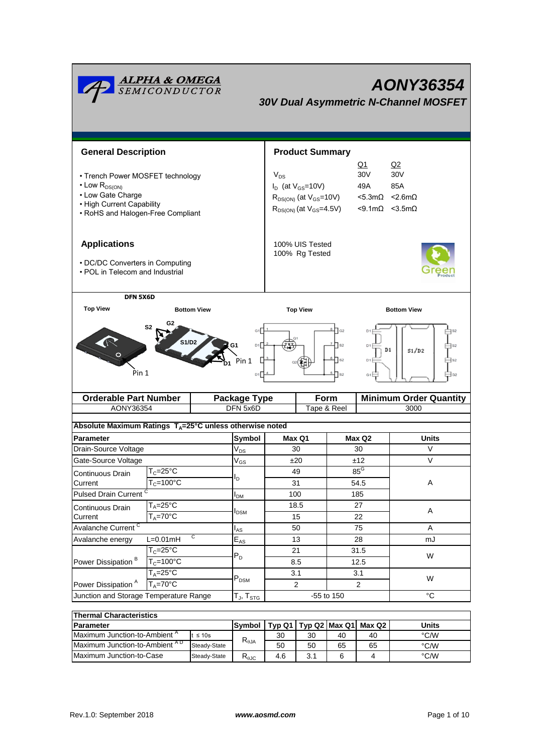| <b>ALPHA &amp; OMEGA</b><br>SEMICONDUCTOR<br>AONY36354<br><b>30V Dual Asymmetric N-Channel MOSFET</b>                                               |                                     |                            |                                                                                                                                                                                                                                                         |            |                |                               |  |  |  |
|-----------------------------------------------------------------------------------------------------------------------------------------------------|-------------------------------------|----------------------------|---------------------------------------------------------------------------------------------------------------------------------------------------------------------------------------------------------------------------------------------------------|------------|----------------|-------------------------------|--|--|--|
| <b>General Description</b>                                                                                                                          |                                     |                            | <b>Product Summary</b>                                                                                                                                                                                                                                  |            |                |                               |  |  |  |
| • Trench Power MOSFET technology<br>$\cdot$ Low $R_{DS(ON)}$<br>• Low Gate Charge<br>• High Current Capability<br>• RoHS and Halogen-Free Compliant |                                     |                            | Q1<br>Q2<br>30V<br>30 <sub>V</sub><br>$V_{DS}$<br>$I_D$ (at $V_{GS}$ =10V)<br>49A<br>85A<br>$R_{DS(ON)}$ (at $V_{GS}$ =10V)<br>$<$ 5.3m $\Omega$<br>$< 2.6m\Omega$<br>$R_{DS(ON)}$ (at $V_{GS}$ =4.5V)<br>$< 9.1 \text{m}\Omega$ $< 3.5 \text{m}\Omega$ |            |                |                               |  |  |  |
| <b>Applications</b><br>• DC/DC Converters in Computing<br>• POL in Telecom and Industrial                                                           |                                     |                            | 100% UIS Tested<br>100% Rg Tested                                                                                                                                                                                                                       |            |                |                               |  |  |  |
| <b>Top View</b>                                                                                                                                     | DFN 5X6D<br><b>Bottom View</b>      |                            |                                                                                                                                                                                                                                                         |            |                | <b>Bottom View</b>            |  |  |  |
| G2<br>S <sub>2</sub><br>S1/D2<br>D1<br>Pin 1<br>Pin 1<br>D <sub>1</sub>                                                                             |                                     |                            | $\sqrt{G2}$<br>$\sqrt{ }$ S <sub>2</sub><br>$\mathsf{I}$ s2<br>D <sub>1</sub><br>ls2<br>G1                                                                                                                                                              |            |                | $_{\rm D1}$<br>S1/D2          |  |  |  |
| <b>Orderable Part Number</b>                                                                                                                        |                                     | Package Type               |                                                                                                                                                                                                                                                         | Form       |                | <b>Minimum Order Quantity</b> |  |  |  |
| DFN 5x6D<br>AONY36354<br>Tape & Reel<br>3000                                                                                                        |                                     |                            |                                                                                                                                                                                                                                                         |            |                |                               |  |  |  |
| Absolute Maximum Ratings $T_A = 25^\circ \text{C}$ unless otherwise noted                                                                           |                                     |                            |                                                                                                                                                                                                                                                         |            |                |                               |  |  |  |
| <b>Parameter</b>                                                                                                                                    |                                     | Symbol                     | Max Q1                                                                                                                                                                                                                                                  |            | Max Q2         | Units                         |  |  |  |
| Drain-Source Voltage                                                                                                                                |                                     | $\mathsf{V}_{\mathsf{DS}}$ | 30                                                                                                                                                                                                                                                      |            | 30             | V                             |  |  |  |
| Gate-Source Voltage                                                                                                                                 |                                     | $\mathsf{V}_{\mathsf{GS}}$ | ±20                                                                                                                                                                                                                                                     |            | ±12            | V                             |  |  |  |
| Continuous Drain                                                                                                                                    | $T_c = 25$ °C                       | $I_D$                      | 49                                                                                                                                                                                                                                                      |            | $85^\circ$     |                               |  |  |  |
| Current                                                                                                                                             | $T_c = 100^{\circ}$ C               |                            | 31                                                                                                                                                                                                                                                      |            | 54.5           | Α                             |  |  |  |
| <b>Pulsed Drain Current</b>                                                                                                                         |                                     | I <sub>DМ</sub>            | 100                                                                                                                                                                                                                                                     |            | 185            |                               |  |  |  |
| Continuous Drain<br>Current                                                                                                                         | $T_A = 25$ °C<br>$T_A = 70^\circ C$ | <b>I</b> <sub>DSM</sub>    | 18.5<br>15                                                                                                                                                                                                                                              |            | 27<br>22       | A                             |  |  |  |
| Avalanche Current <sup>C</sup>                                                                                                                      |                                     |                            | 50                                                                                                                                                                                                                                                      |            | 75             | Α                             |  |  |  |
| C<br>$L=0.01mH$<br>Avalanche energy                                                                                                                 |                                     | $I_{AS}$<br>$E_{AS}$       | 13                                                                                                                                                                                                                                                      |            | 28             | mJ                            |  |  |  |
| Power Dissipation <sup>B</sup>                                                                                                                      | $T_c = 25$ °C                       |                            | 21                                                                                                                                                                                                                                                      |            | 31.5           |                               |  |  |  |
|                                                                                                                                                     | $T_c = 100°C$                       | $P_D$                      | 8.5                                                                                                                                                                                                                                                     |            | 12.5           | W                             |  |  |  |
|                                                                                                                                                     | $T_A = 25^{\circ} \overline{C}$     |                            | 3.1                                                                                                                                                                                                                                                     |            | 3.1            |                               |  |  |  |
| Power Dissipation <sup>A</sup>                                                                                                                      | $T_A = 70^\circ C$                  | $\mathsf{P}_\mathsf{DSM}$  | $\mathbf{2}$                                                                                                                                                                                                                                            |            | $\overline{2}$ | W                             |  |  |  |
| Junction and Storage Temperature Range<br>$\mathsf{T}_{\mathsf{J}}, \mathsf{T}_{\textsf{STG}}$                                                      |                                     |                            |                                                                                                                                                                                                                                                         | -55 to 150 |                | $^{\circ}{\rm C}$             |  |  |  |
| <b>Thermal Characteristics</b>                                                                                                                      |                                     |                            |                                                                                                                                                                                                                                                         |            |                |                               |  |  |  |

| THEITHEI UTTER EUCH ISLIUS                       |              |                                   |                              |         |        |       |      |  |
|--------------------------------------------------|--------------|-----------------------------------|------------------------------|---------|--------|-------|------|--|
| <b>IParameter</b>                                | Symbol       | Tvp Q1 I                          | $T$ vp Q2   Max Q1   $\cdot$ |         | Max Q2 | Units |      |  |
| <b>IMaximum Junction-to-Ambient</b> <sup>"</sup> | $\leq 10s$   | $\mathsf{R}_{\theta \mathsf{JA}}$ | 30                           | 30      | 40     | 40    | °C/W |  |
| Maximum Junction-to-Ambient <sup>AD</sup>        | Steady-State |                                   | 50                           | 50      | 65     | 65    | °C/W |  |
| <b>IMaximum Junction-to-Case</b><br>Steady-State |              | D<br>₹θJC                         | 4.6                          | ົ<br>J. |        |       | °C/W |  |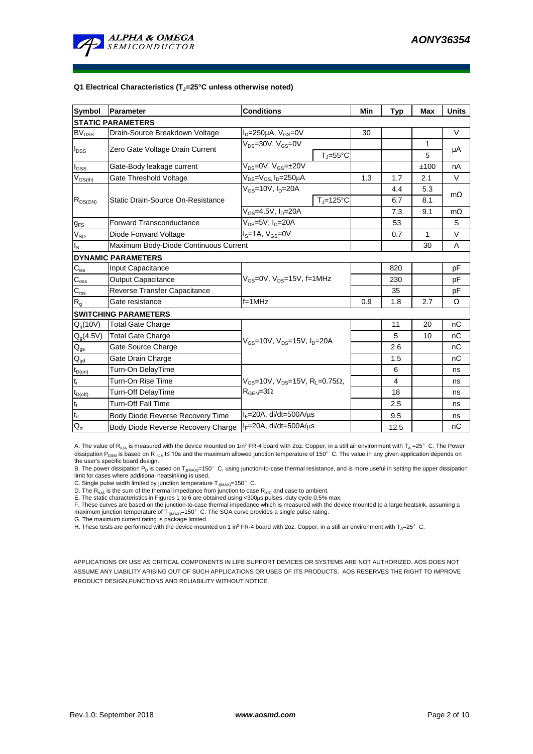

#### **Q1 Electrical Characteristics (TJ=25°C unless otherwise noted)**

| Symbol                     | Parameter                             | <b>Conditions</b>                                                                           | Min               | <b>Typ</b> | <b>Max</b> | <b>Units</b> |           |  |
|----------------------------|---------------------------------------|---------------------------------------------------------------------------------------------|-------------------|------------|------------|--------------|-----------|--|
| <b>STATIC PARAMETERS</b>   |                                       |                                                                                             |                   |            |            |              |           |  |
| <b>BV<sub>DSS</sub></b>    | Drain-Source Breakdown Voltage        | $I_D = 250 \mu A$ , $V_{GS} = 0V$                                                           |                   | 30         |            |              | $\vee$    |  |
|                            | Zero Gate Voltage Drain Current       | $V_{DS}$ =30V, $V_{GS}$ =0V                                                                 |                   |            |            | 1            |           |  |
| $I_{DSS}$                  |                                       |                                                                                             | $T_{\rm J}$ =55°C |            |            | 5            | μA        |  |
| $I_{GSS}$                  | Gate-Body leakage current             | $V_{DS} = 0V$ , $V_{GS} = \pm 20V$                                                          |                   |            |            | ±100         | nA        |  |
| $\rm V_{GS(th)}$           | Gate Threshold Voltage                | $V_{DS} = V_{GS}$ , $I_D = 250 \mu A$                                                       |                   | 1.3        | 1.7        | 2.1          | V         |  |
|                            |                                       | $V_{GS}$ =10V, $I_D$ =20A                                                                   |                   |            | 4.4        | 5.3          | $m\Omega$ |  |
| $R_{DS(ON)}$               | Static Drain-Source On-Resistance     |                                                                                             | $T_J = 125$ °C    |            | 6.7        | 8.1          |           |  |
|                            |                                       | $V_{GS} = 4.5V, I_D = 20A$                                                                  |                   |            | 7.3        | 9.1          | $m\Omega$ |  |
| $g_{FS}$                   | <b>Forward Transconductance</b>       | $V_{DS} = 5V$ , $I_D = 20A$                                                                 |                   |            | 53         |              | S         |  |
| $V_{SD}$                   | Diode Forward Voltage                 | $\overline{I_s}$ =1A, $V_{GS}$ =0V                                                          |                   |            | 0.7        | $\mathbf{1}$ | $\vee$    |  |
| lls                        | Maximum Body-Diode Continuous Current |                                                                                             |                   |            |            | 30           | A         |  |
|                            | <b>DYNAMIC PARAMETERS</b>             |                                                                                             |                   |            |            |              |           |  |
| $\mathbf{C}_{\text{iss}}$  | Input Capacitance                     |                                                                                             |                   |            | 820        |              | pF        |  |
| $C_{\rm oss}$              | <b>Output Capacitance</b>             | $V_{GS}$ =0V, $V_{DS}$ =15V, f=1MHz                                                         |                   | 230        |            | рF           |           |  |
| $\mathbf{C}_{\text{rss}}$  | Reverse Transfer Capacitance          |                                                                                             |                   | 35         |            | pF           |           |  |
| $R_{g}$                    | Gate resistance                       | f=1MHz                                                                                      |                   | 0.9        | 1.8        | 2.7          | Ω         |  |
|                            | <b>SWITCHING PARAMETERS</b>           |                                                                                             |                   |            |            |              |           |  |
| $Q_q(10V)$                 | <b>Total Gate Charge</b>              | $V_{GS}$ =10V, $V_{DS}$ =15V, $I_{D}$ =20A                                                  |                   |            | 11         | 20           | nC        |  |
| $Q_g(4.5V)$                | <b>Total Gate Charge</b>              |                                                                                             |                   |            | 5          | 10           | nC        |  |
| $Q_{gs}$                   | Gate Source Charge                    |                                                                                             |                   |            | 2.6        |              | nC        |  |
| $\mathsf{Q}_{\text{gd}}$   | Gate Drain Charge                     |                                                                                             |                   |            | 1.5        |              | nC        |  |
| $t_{D(on)}$                | Turn-On DelayTime                     |                                                                                             |                   |            | 6          |              | ns        |  |
| $t_r$                      | Turn-On Rise Time                     | $V_{GS}$ =10V, $V_{DS}$ =15V, R <sub>L</sub> =0.75 $\Omega$ ,<br>$R_{\text{GEN}} = 3\Omega$ |                   |            | 4          |              | ns        |  |
| $t_{D(off)}$               | Turn-Off DelayTime                    |                                                                                             |                   |            | 18         |              | ns        |  |
| $t_f$                      | <b>Turn-Off Fall Time</b>             |                                                                                             |                   |            | 2.5        |              | ns        |  |
| $\mathfrak{t}_{\text{rr}}$ | Body Diode Reverse Recovery Time      | $I_F = 20A$ , di/dt=500A/ $\mu$ s                                                           |                   |            | 9.5        |              | ns        |  |
| $Q_{rr}$                   | Body Diode Reverse Recovery Charge    | $I_F = 20A$ , di/dt=500A/ $\mu$ s                                                           |                   | 12.5       |            | nC           |           |  |

A. The value of R<sub>0JA</sub> is measured with the device mounted on 1in<sup>2</sup> FR-4 board with 2oz. Copper, in a still air environment with T<sub>A</sub> =25° C. The Power dissipation P<sub>DSM</sub> is based on R <sub>0JA</sub> t≤ 10s and the maximum allowed junction temperature of 150°C. The value in any given application depends on the user's specific board design.

B. The power dissipation P<sub>D</sub> is based on T<sub>J(MAX)</sub>=150°C, using junction-to-case thermal resistance, and is more useful in setting the upper dissipation<br>limit for cases where additional heatsinking is used.<br>C. Single puls

D. The R<sub>aJA</sub> is the sum of the thermal impedance from junction to case  $R_{qJC}$  and case to ambient.<br>D. The  $R_{qJA}$  is the sum of the thermal impedance from junction to case  $R_{qJC}$  and case to ambient.

E. The static characteristics in Figures 1 to 6 are obtained using <300us pulses, duty cycle 0.5% max.

F. These curves are based on the junction-to-case thermal impedance which is measured with the device mounted to a large heatsink, assuming a maximum junction temperature of  $T_{J(MAX)}$ =150°C. The SOA curve provides a single pulse rating.

G. The maximum current rating is package limited.

H. These tests are performed with the device mounted on 1 in<sup>2</sup> FR-4 board with 2oz. Copper, in a still air environment with T<sub>A</sub>=25°C.

APPLICATIONS OR USE AS CRITICAL COMPONENTS IN LIFE SUPPORT DEVICES OR SYSTEMS ARE NOT AUTHORIZED. AOS DOES NOT ASSUME ANY LIABILITY ARISING OUT OF SUCH APPLICATIONS OR USES OF ITS PRODUCTS. AOS RESERVES THE RIGHT TO IMPROVE PRODUCT DESIGN,FUNCTIONS AND RELIABILITY WITHOUT NOTICE.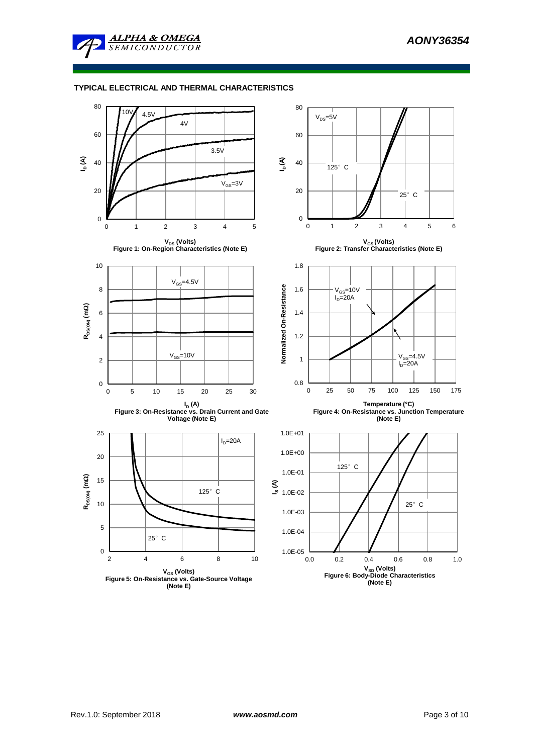

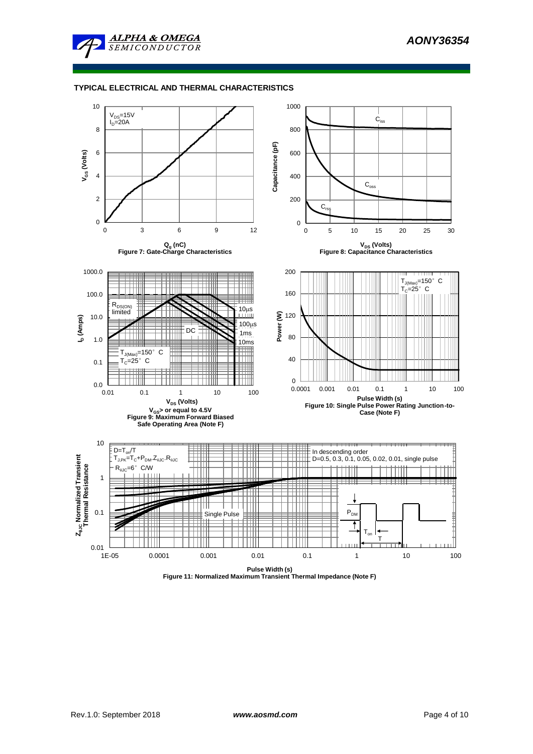



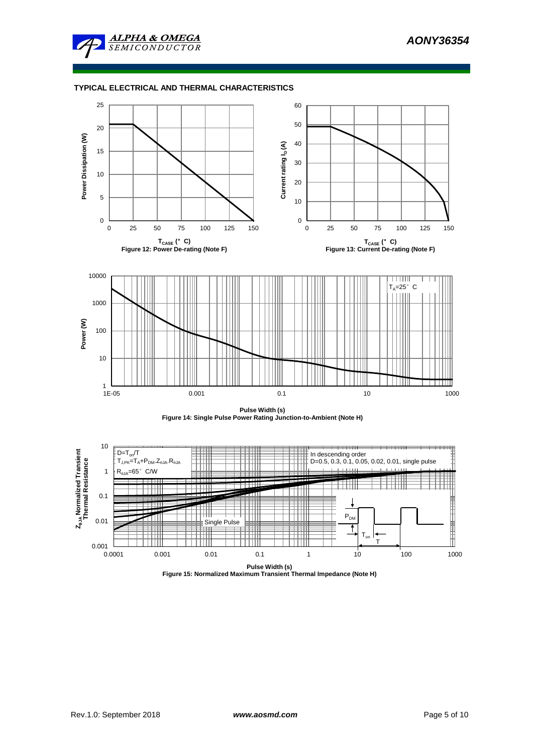







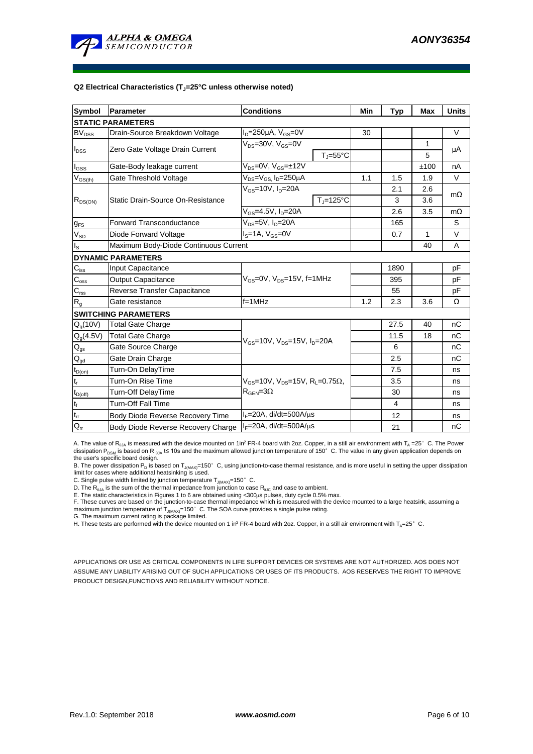

#### **Q2 Electrical Characteristics (TJ=25°C unless otherwise noted)**

| Symbol                     | Parameter                             | <b>Conditions</b>                                                                           | Min                        | <b>Typ</b> | <b>Max</b>     | <b>Units</b> |           |  |  |
|----------------------------|---------------------------------------|---------------------------------------------------------------------------------------------|----------------------------|------------|----------------|--------------|-----------|--|--|
| <b>STATIC PARAMETERS</b>   |                                       |                                                                                             |                            |            |                |              |           |  |  |
| <b>BV<sub>DSS</sub></b>    | Drain-Source Breakdown Voltage        | $I_D = 250 \mu A$ , $V_{GS} = 0V$                                                           |                            | 30         |                |              | V         |  |  |
|                            | Zero Gate Voltage Drain Current       | $V_{DS}$ =30V, $V_{GS}$ =0V                                                                 |                            |            |                | 1            | μA        |  |  |
| $I_{DSS}$                  |                                       |                                                                                             | $T_{\rm J} = 55^{\circ}$ C |            |                | 5            |           |  |  |
| $I_{GSS}$                  | Gate-Body leakage current             | $V_{DS} = 0V$ , $V_{GS} = \pm 12V$                                                          |                            |            |                | ±100         | nA        |  |  |
| $\rm V_{GS(th)}$           | Gate Threshold Voltage                | V <sub>DS</sub> =V <sub>GS.</sub> I <sub>D</sub> =250µA                                     |                            | 1.1        | 1.5            | 1.9          | V         |  |  |
|                            |                                       | $V_{GS}$ =10V, $I_D$ =20A                                                                   |                            |            | 2.1            | 2.6          | $m\Omega$ |  |  |
| $R_{DS(ON)}$               | Static Drain-Source On-Resistance     |                                                                                             | $T_J = 125$ °C             |            | 3              | 3.6          |           |  |  |
|                            |                                       | $V_{GS} = 4.5V, I_D = 20A$                                                                  |                            |            | 2.6            | 3.5          | $m\Omega$ |  |  |
| $g_{FS}$                   | <b>Forward Transconductance</b>       | $V_{DS}$ =5V, $I_D$ =20A                                                                    |                            |            | 165            |              | S         |  |  |
| $V_{SD}$                   | Diode Forward Voltage                 | $IS=1A, VGS=0V$                                                                             |                            |            | 0.7            | 1            | V         |  |  |
| $\mathsf{I}_\mathsf{S}$    | Maximum Body-Diode Continuous Current |                                                                                             |                            |            |                | 40           | A         |  |  |
|                            | <b>DYNAMIC PARAMETERS</b>             |                                                                                             |                            |            |                |              |           |  |  |
| $\mathbf{C}_{\text{iss}}$  | Input Capacitance                     |                                                                                             |                            |            | 1890           |              | рF        |  |  |
| $C_{\rm oss}$              | <b>Output Capacitance</b>             | $V_{GS}$ =0V, $V_{DS}$ =15V, f=1MHz                                                         |                            | 395        |                | рF           |           |  |  |
| $C_{\text{rss}}$           | Reverse Transfer Capacitance          |                                                                                             |                            | 55         |                | pF           |           |  |  |
| $\mathsf{R}_{\mathsf{g}}$  | Gate resistance                       | $f = 1$ MHz                                                                                 | 1.2                        | 2.3        | 3.6            | Ω            |           |  |  |
|                            | <b>SWITCHING PARAMETERS</b>           |                                                                                             |                            |            |                |              |           |  |  |
| $Q_q(10V)$                 | <b>Total Gate Charge</b>              |                                                                                             |                            |            | 27.5           | 40           | nC        |  |  |
| $Q_g(4.5V)$                | <b>Total Gate Charge</b>              |                                                                                             |                            | 11.5       | 18             | nC           |           |  |  |
| $Q_{gs}$                   | Gate Source Charge                    | $V_{GS}$ =10V, $V_{DS}$ =15V, $I_D$ =20A                                                    |                            |            | 6              |              | nC        |  |  |
| $\mathsf{Q}_{\text{gd}}$   | Gate Drain Charge                     |                                                                                             |                            |            | 2.5            |              | nC        |  |  |
| $t_{D(on)}$                | Turn-On DelayTime                     |                                                                                             |                            |            | 7.5            |              | ns        |  |  |
| $t_r$                      | Turn-On Rise Time                     | $V_{GS}$ =10V, $V_{DS}$ =15V, R <sub>L</sub> =0.75 $\Omega$ ,<br>$R_{\text{GEN}} = 3\Omega$ |                            |            | 3.5            |              | ns        |  |  |
| $t_{D(off)}$               | Turn-Off DelayTime                    |                                                                                             |                            |            | 30             |              | ns        |  |  |
| $t_f$                      | <b>Turn-Off Fall Time</b>             |                                                                                             |                            |            | $\overline{4}$ |              | ns        |  |  |
| $\mathsf{t}_{\mathsf{rr}}$ | Body Diode Reverse Recovery Time      | $I_F = 20A$ , di/dt=500A/ $\mu$ s                                                           |                            |            | 12             |              | ns        |  |  |
| $\mathsf{Q}_\mathsf{rr}$   | Body Diode Reverse Recovery Charge    | $I_F = 20A$ , di/dt=500A/ $\mu$ s                                                           |                            |            | 21             |              | nС        |  |  |

A. The value of R<sub>BJA</sub> is measured with the device mounted on 1in<sup>2</sup> FR-4 board with 2oz. Copper, in a still air environment with T<sub>A</sub> =25°C. The Power dissipation P<sub>DSM</sub> is based on R <sub>0JA</sub> t≤ 10s and the maximum allowed junction temperature of 150°C. The value in any given application depends on the user's specific board design.

B. The power dissipation P<sub>D</sub> is based on T<sub>J(MAX)</sub>=150°C, using junction-to-case thermal resistance, and is more useful in setting the upper dissipation<br>limit for cases where additional heatsinking is used.

C. Single pulse width limited by junction temperature  $T_{J(MAX)}$ =150°C.

D. The  $R_{a_1a}$  is the sum of the thermal impedance from junction to case  $R_{a_1c}$  and case to ambient.

E. The static characteristics in Figures 1 to 6 are obtained using <300us pulses, duty cycle 0.5% max.

F. These curves are based on the junction-to-case thermal impedance which is measured with the device mounted to a large heatsink, assuming a maximum junction temperature of  $T_{J(MAX)}$ =150°C. The SOA curve provides a single pulse rating.

G. The maximum current rating is package limited.<br>H. These tests are performed with the device mounted on 1 in<sup>2</sup> FR-4 board with 2oz. Copper, in a still air environment with T<sub>A</sub>=25° C.

APPLICATIONS OR USE AS CRITICAL COMPONENTS IN LIFE SUPPORT DEVICES OR SYSTEMS ARE NOT AUTHORIZED. AOS DOES NOT ASSUME ANY LIABILITY ARISING OUT OF SUCH APPLICATIONS OR USES OF ITS PRODUCTS. AOS RESERVES THE RIGHT TO IMPROVE PRODUCT DESIGN,FUNCTIONS AND RELIABILITY WITHOUT NOTICE.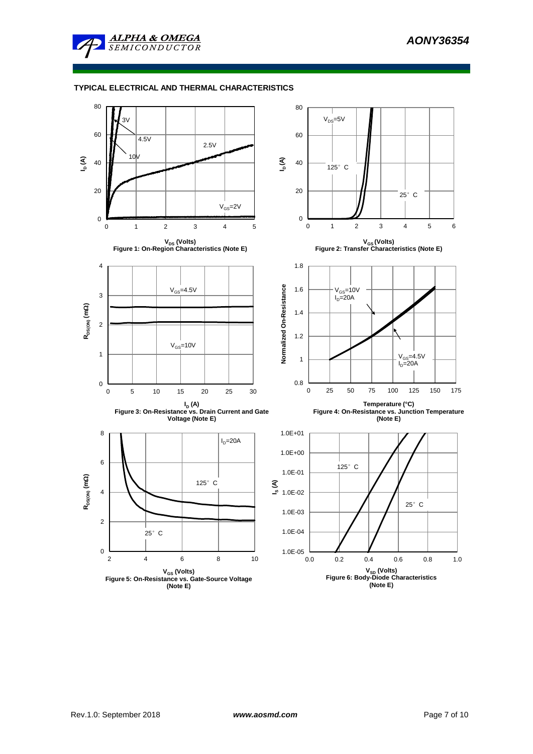

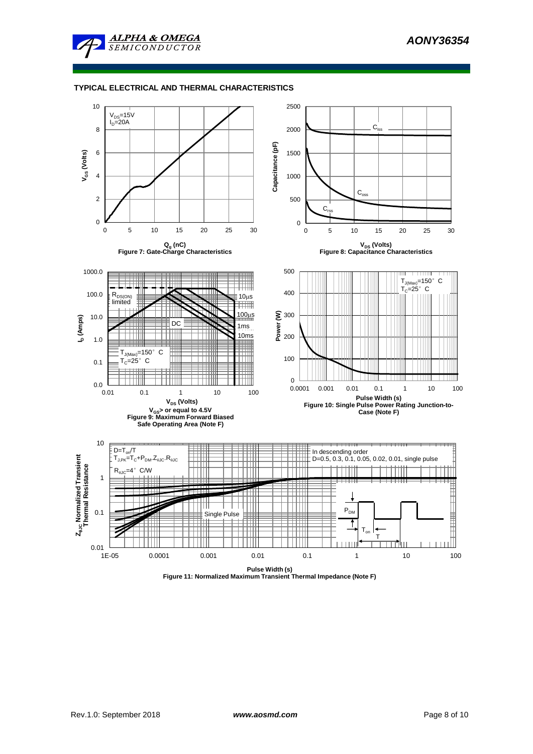



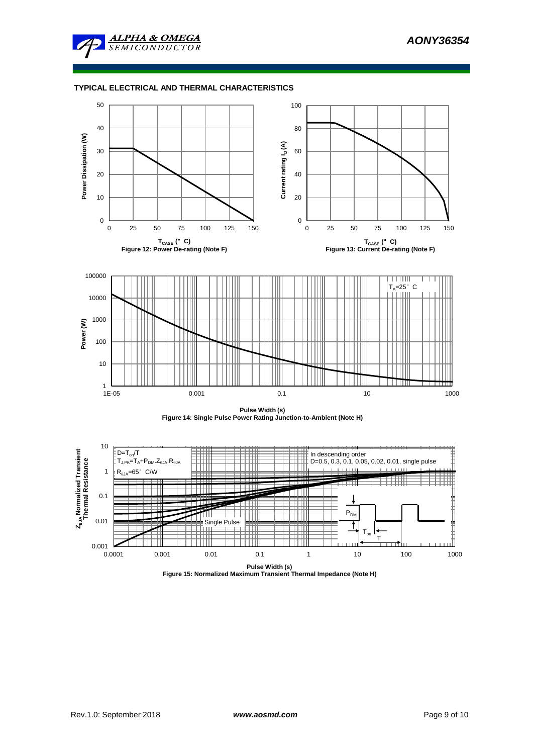